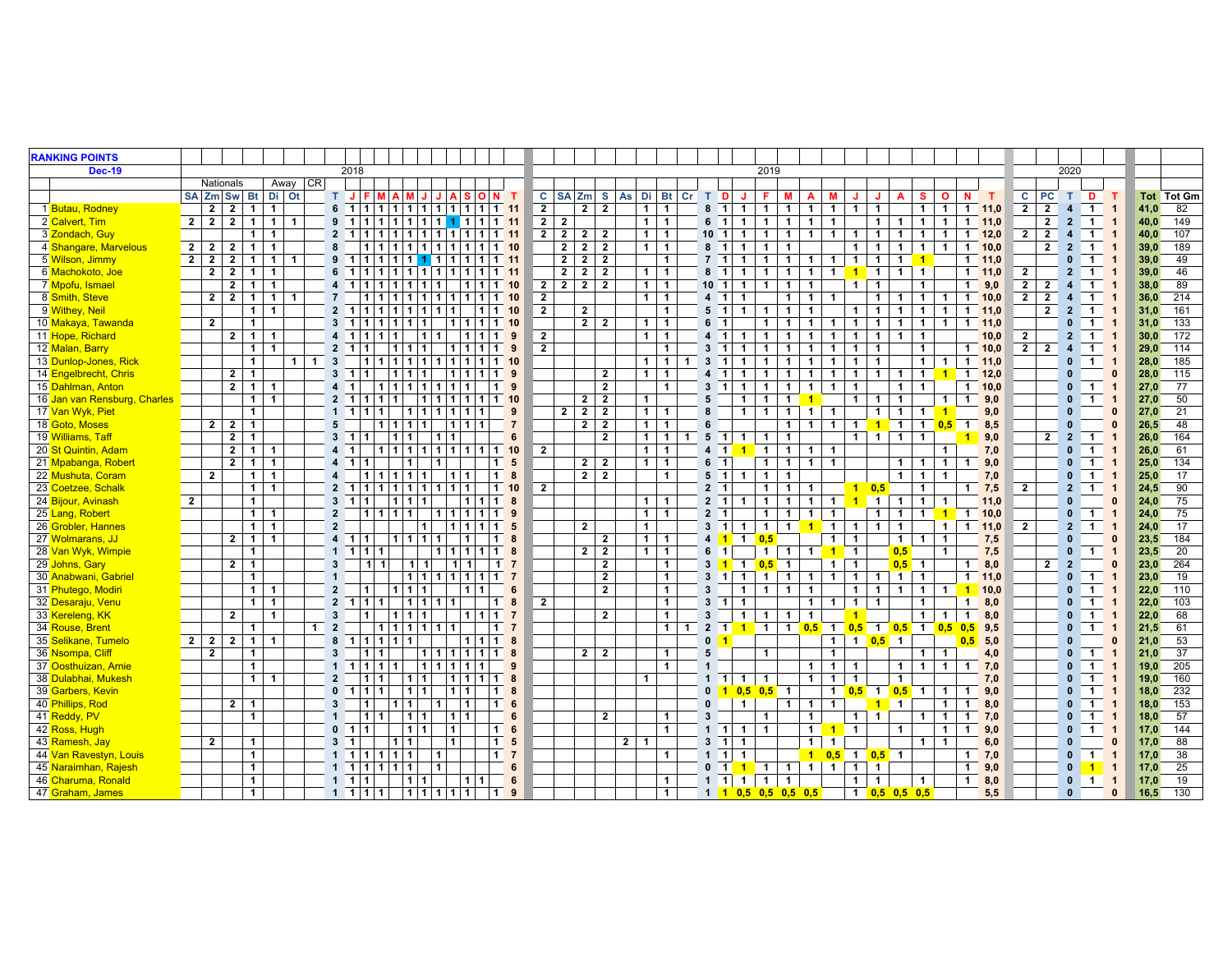| <b>RANKING POINTS</b>        |                |                |                |                                   |                |                |                         |                                                     |           |                   |                |              |                                   |                      |                 |                |                                           |                |                |                   |                         |                |                                           |                                        |                  |                         |                      |                                                            |                         |                      |                      |                |                |                      |                |                |                                  |                                  |                                |                              |      |                   |
|------------------------------|----------------|----------------|----------------|-----------------------------------|----------------|----------------|-------------------------|-----------------------------------------------------|-----------|-------------------|----------------|--------------|-----------------------------------|----------------------|-----------------|----------------|-------------------------------------------|----------------|----------------|-------------------|-------------------------|----------------|-------------------------------------------|----------------------------------------|------------------|-------------------------|----------------------|------------------------------------------------------------|-------------------------|----------------------|----------------------|----------------|----------------|----------------------|----------------|----------------|----------------------------------|----------------------------------|--------------------------------|------------------------------|------|-------------------|
| <b>Dec-19</b>                |                |                |                |                                   |                |                |                         | 2018                                                |           |                   |                |              |                                   |                      |                 |                |                                           |                |                |                   |                         |                |                                           |                                        |                  | 2019                    |                      |                                                            |                         |                      |                      |                |                |                      |                |                |                                  | 2020                             |                                |                              |      |                   |
|                              |                | Nationals      |                |                                   | Away CR        |                |                         |                                                     |           |                   |                |              |                                   |                      |                 |                |                                           |                |                |                   |                         |                |                                           |                                        |                  |                         |                      |                                                            |                         |                      |                      |                |                |                      |                |                |                                  |                                  |                                |                              |      |                   |
|                              |                |                |                | SA Zm Sw Bt Di Ot                 |                |                |                         | T J F M A M J J                                     |           |                   |                | A            | l S                               | O N                  | $\mathbf T$     |                |                                           | C   SA Zm      |                | S As Di Bt Cr T D |                         |                |                                           | J                                      | F.               | М                       | A                    | м                                                          |                         | J.                   | A                    | s.             | $\circ$        | N                    | T              | c              | PC                               | T                                | D                              | T                            |      | <b>Tot</b> Tot Gm |
| 1 Butau, Rodney              |                | $\overline{2}$ | $\overline{2}$ | $\overline{1}$<br>$\overline{1}$  |                |                | $6 \quad 1$             | 1 1 1 1 1 1 1 1 1 1 1                               |           |                   |                |              |                                   |                      |                 | $\overline{2}$ |                                           | $\overline{2}$ | $\overline{2}$ | 1 <sup>1</sup>    | $\overline{1}$          |                | $8 \quad 1$                               | $\mathbf{1}$                           | $\mathbf{1}$     | $\overline{1}$          | $\mathbf{1}$         |                                                            | $1 \quad 1$             | $\mathbf{1}$         |                      |                | $1 \mid 1$     |                      | $1 \quad 11,0$ | $\overline{2}$ |                                  | $\overline{2}$<br>$\overline{4}$ |                                | $1 \quad 1$                  | 41,0 | 82                |
| 2 Calvert, Tim               | $\overline{2}$ | $\overline{2}$ | $\overline{2}$ | $1 \vert 1$                       | $\overline{1}$ |                | 9                       | 1 1 1 1 1 1 111 1111<br>$\blacksquare$              |           |                   |                |              |                                   |                      |                 |                | 2 <sup>1</sup><br>$\overline{2}$          |                |                | 1 <sup>1</sup>    | $\overline{1}$          |                | 6<br>$\blacksquare$                       | $\mathbf{1}$                           | $\mathbf{1}$     | $\overline{1}$          | $\mathbf{1}$         | $\mathbf{1}$                                               |                         | $\mathbf 1$          | $\mathbf{1}$         | 1              | $\overline{1}$ |                      | $1 \quad 11.0$ |                |                                  | $\mathbf{2}$<br>$2^{\circ}$      |                                | $1 \quad 1$                  | 40,0 | 149               |
| 3 Zondach, Guy               |                |                |                | $\mathbf{1}$<br>$\mathbf{1}$      |                |                | $\overline{2}$          | $\vert$ 1<br>1 1 1 1 1 1 1 1 1 1 1                  |           |                   |                |              |                                   |                      |                 |                | 2 <sup>1</sup><br>$\overline{\mathbf{r}}$ | $\overline{2}$ | $\overline{2}$ | 1                 | $\mathbf{1}$            |                | $10 \quad 1$                              | $\mathbf{1}$                           | $\mathbf{1}$     | $\mathbf{1}$            | $\mathbf{1}$         | $\overline{1}$                                             | $\overline{\mathbf{1}}$ | $\mathbf{1}$         | $\overline{1}$       | 1              | $\overline{1}$ |                      | $1 \t12.0$     | $\overline{2}$ | $\overline{2}$                   | $\overline{4}$                   | $\blacksquare$                 |                              | 40,0 | 107               |
| 4 Shangare, Marvelous        | 2 <sup>1</sup> | $\overline{2}$ | $\overline{2}$ | $\mathbf{1}$<br>$\mathbf{1}$      |                |                | 8                       |                                                     |           |                   |                |              |                                   |                      |                 |                | $\overline{2}$                            | $\overline{2}$ | $\overline{2}$ | $\mathbf{1}$      | $\overline{1}$          |                | 8 <sub>1</sub>                            | $\mathbf{1}$                           | $\mathbf{1}$     | $\mathbf{1}$            |                      |                                                            | $\mathbf{1}$            | $\mathbf{1}$         | $\mathbf{1}$         | $\mathbf{1}$   | $\mathbf{1}$   |                      | $1 \quad 10.0$ |                |                                  | $\mathbf{2}$<br>$\overline{2}$   | $\mathbf{1}$                   |                              | 39.0 | 189               |
| 5 Wilson, Jimmy              | $\overline{2}$ | $2^{\circ}$    | $\overline{2}$ | $\mathbf{1}$<br>$\mathbf{1}$      | $\mathbf{1}$   |                | 9                       | $1 1 1 1$ 1 1 $1 1 1 1$ 1 1 1 1 1<br>$\overline{1}$ |           |                   |                |              |                                   |                      |                 |                | $2^{\circ}$                               | $\overline{2}$ | $\overline{2}$ |                   | $\mathbf{1}$            |                | 7 <sub>1</sub>                            | $\mathbf{1}$                           | $\mathbf{1}$     | $\mathbf{1}$            | $\mathbf{1}$         | $\mathbf{1}$                                               | $\overline{\mathbf{1}}$ | $\mathbf{1}$         | $\mathbf{1}$         | -1             |                |                      | $1 \quad 11.0$ |                |                                  | $\mathbf{0}$                     | $\mathbf{1}$                   |                              | 39.0 | 49                |
| 6 Machokoto, Joe             |                | $\overline{2}$ | $\overline{2}$ | $\mathbf{1}$<br>$\mathbf{1}$      |                |                | 6                       | $\overline{1}$<br>1 1 1 1 1 1 1 1 1 1 1 1 1 1 1 1 1 |           |                   |                |              |                                   |                      |                 |                | $\overline{2}$                            | $\overline{2}$ | $\overline{2}$ | $\mathbf{1}$      | $\overline{1}$          |                | 8 <sup>1</sup>                            | $\mathbf 1$                            | 1                | $\mathbf{1}$            | $\mathbf{1}$         | 1 <sup>1</sup>                                             | $\overline{1}$          | $\overline{1}$       | $\mathbf{1}$         | $\mathbf{1}$   |                | $\mathbf{1}$         | 11,0           | $\mathbf{2}$   |                                  | $\overline{2}$                   | $\mathbf{1}$                   |                              | 39.0 | 46                |
| 7 Mpofu, Ismael              |                |                | $\overline{2}$ | $\mathbf{1}$<br>$\mathbf{1}$      |                |                | $\boldsymbol{4}$        | $\overline{1}$                                      |           | 111111111         |                |              | l 1                               | $1 \mid 1 \mid 10$   |                 |                | 2 <sup>1</sup>                            | $2 \mid 2$     | $\overline{2}$ | $1 \vert$         | $\overline{1}$          |                | $10 \quad 1$                              | $\mathbf{1}$                           | $\mathbf{1}$     | $\mathbf{1}$            | $\mathbf{1}$         |                                                            | $\overline{1}$          | $\mathbf{1}$         |                      | 1              |                | $\mathbf{1}$         | 9,0            |                | $2 \mid 2$                       | 4                                | $\mathbf 1$                    |                              | 38,0 | 89                |
| 8 Smith, Steve               |                | $2 \mid 2$     |                | 1 <sup>1</sup><br>$\overline{1}$  | $\mathbf{1}$   |                | $\overline{7}$          | 1 1 1 1 1 1 1 1 1 1 1                               |           |                   |                |              |                                   |                      | 10              | $\overline{2}$ |                                           |                |                | 1 <sup>1</sup>    | $\overline{1}$          |                | $4 \quad 1$                               | $\mathbf 1$                            |                  | 1                       | $\mathbf{1}$         | $\mathbf{1}$                                               |                         | $\mathbf{1}$         | $\mathbf{1}$         | 1 <sup>1</sup> | $\overline{1}$ | $\mathbf{1}$         | 10.0           |                | 2 <sup>1</sup><br>$\overline{2}$ | $\overline{\mathbf{4}}$          | $\mathbf{1}$                   | $\mathbf{1}$                 | 36,0 | 214               |
| 9 Withey, Neil               |                |                |                | $\mathbf{1}$<br>$\overline{1}$    |                |                | $\overline{2}$          | 1 1 1 1 1 1 1<br>$\overline{1}$                     |           |                   |                |              |                                   | 11110                |                 | $\overline{2}$ |                                           | $\overline{2}$ |                |                   | $\mathbf{1}$            |                | $5 \quad 1$                               | $\mathbf{1}$                           | $\mathbf 1$      | $\overline{\mathbf{1}}$ | 1                    |                                                            | -1                      | $\mathbf{1}$         | $\blacktriangleleft$ | $\mathbf 1$    | $\overline{1}$ | $\mathbf{1}$         | 11,0           |                |                                  | $\overline{2}$<br>$\overline{2}$ |                                | 1                            | 31.0 | 161               |
| 10 Makaya, Tawanda           |                | $\overline{2}$ |                | $\blacktriangleleft$              |                |                | $\overline{3}$          | $\overline{1}$                                      |           | 1111              |                | 111          |                                   | 1111                 |                 |                |                                           | $\overline{2}$ | $\overline{2}$ | $\mathbf{1}$      | $\mathbf{1}$            |                | 6                                         |                                        | 1                | $\mathbf{1}$            | $\mathbf{1}$         | $\mathbf{1}$                                               | $\overline{1}$          | $\mathbf{1}$         | $\mathbf{1}$         | $\mathbf{1}$   | $\overline{1}$ | $\mathbf{1}$         | 11.0           |                |                                  | $\mathbf{0}$                     | 1 <sup>1</sup>                 |                              | 31.0 | 133               |
| 11 Hope, Richard             |                |                | $\mathbf{2}$   | 1 <sup>1</sup><br>$\mathbf{1}$    |                |                | $\boldsymbol{4}$        | $\overline{1}$<br>$\mathbf{1}$                      | 111       |                   | 111            |              | $\overline{1}$                    | $\mathbf 1$          | 9               | $\mathbf{2}$   |                                           |                |                | $\mathbf{1}$      | $\mathbf{1}$            |                | $\blacksquare$<br>$\overline{\mathbf{4}}$ |                                        | 1                | $\mathbf{1}$            | $\mathbf{1}$         | $\mathbf{1}$                                               | $\overline{\mathbf{1}}$ | $\mathbf{1}$         | $\blacktriangleleft$ | $\mathbf{1}$   |                |                      | 10.0           | $\mathbf{2}$   |                                  | $\overline{2}$                   |                                | 1                            | 30.0 | 172               |
| 12 Malan, Barry              |                |                |                | 1 <sup>1</sup><br>$\overline{1}$  |                |                | $\overline{2}$          | $\overline{1}$                                      |           | 1 1 1             |                |              |                                   | 1 1 1 1              | 9               | $\overline{2}$ |                                           |                |                |                   | $\mathbf{1}$            |                | 3<br>$\overline{1}$                       | $\mathbf{1}$                           | $\mathbf{1}$     | $\overline{1}$          | $\mathbf{1}$         | $\mathbf{1}$                                               | $\overline{1}$          | $\overline{1}$       |                      | $\mathbf{1}$   |                |                      | $1 \quad 10.0$ |                | $2 \mid 2$                       | $\overline{4}$                   | $\blacksquare$                 | $\overline{\mathbf{1}}$      | 29.0 | 114               |
| 13 Dunlop-Jones, Rick        |                |                |                | $\mathbf{1}$                      | 1 <sup>1</sup> | $\blacksquare$ | $\mathbf{3}$            | $1 1 1 1 1 1 1 1 1 1 1$ 10                          |           |                   |                |              |                                   |                      |                 |                |                                           |                |                | 1 <sup>1</sup>    | $\overline{\mathbf{1}}$ | -1             | 3<br>$\blacksquare$                       | $\mathbf 1$                            | $\mathbf{1}$     | $\mathbf{1}$            | $\mathbf{1}$         | $\mathbf{1}$                                               | $\overline{\mathbf{1}}$ | $\mathbf{1}$         |                      | 1 <sup>1</sup> | $\overline{1}$ |                      | $1 \quad 11.0$ |                |                                  |                                  | $\blacksquare$<br>$\mathbf{0}$ | $\overline{\mathbf{1}}$      | 28,0 | 185               |
| 14 Engelbrecht, Chris        |                |                | $\overline{2}$ | $\overline{1}$                    |                |                | $\overline{\mathbf{3}}$ | $\blacksquare$<br>-1                                |           | 1111              |                |              |                                   | $1 1 1 1$ 9          |                 |                |                                           |                | $\overline{2}$ | $\mathbf{1}$      | $\mathbf{1}$            |                | $\blacksquare$                            | $\mathbf{1}$                           | $\mathbf{1}$     | $\overline{1}$          | $\mathbf{1}$         | $\mathbf{1}$                                               | $\mathbf{1}$            | $\mathbf{1}$         | $\mathbf{1}$         | $1$ 1          |                |                      | $1 12.0$       |                |                                  | $\mathbf{0}$                     |                                | $\mathbf{0}$                 | 28.0 | $\frac{115}{2}$   |
| 15 Dahlman, Anton            |                |                | $\overline{2}$ | $\overline{1}$<br>$\mathbf{1}$    |                |                |                         | $\overline{1}$                                      |           | 111111111111      |                |              |                                   | $\mathbf{1}$         | 9               |                |                                           |                | $\overline{2}$ |                   | $\mathbf{1}$            |                | 3<br>$\blacksquare$                       | $\mathbf{1}$                           | $\mathbf{1}$     | $\mathbf{1}$            | $\mathbf{1}$         | $\mathbf{1}$                                               | $\overline{1}$          |                      | $\mathbf{1}$         | $\mathbf{1}$   |                | $\mathbf{1}$         | 10.0           |                |                                  | $\mathbf{0}$                     | $\mathbf{1}$                   | -1                           | 27,0 | 77                |
| 16 Jan van Rensburg, Charles |                |                |                | $\mathbf{1}$<br>$\mathbf{1}$      |                |                | $\overline{2}$          | $\vert$ 1<br>$\overline{1}$                         | $\vert$ 1 |                   | 111111         |              |                                   | $1 \quad 1 \quad 10$ |                 |                |                                           | $\overline{2}$ | $\overline{2}$ | $\mathbf{1}$      |                         |                | 5                                         | $\mathbf{1}$                           | $\mathbf{1}$     | $\overline{1}$          |                      |                                                            | $\overline{1}$          | $\mathbf{1}$         | $\mathbf{1}$         |                | $\mathbf{1}$   | $\mathbf{1}$         | 9.0            |                |                                  | $\mathbf{0}$                     | $\mathbf{1}$                   | $\overline{\mathbf{1}}$      | 27.0 | 50                |
| 17 Van Wyk, Piet             |                |                |                | $\mathbf{1}$                      |                |                | $\mathbf{1}$            | $\overline{1}$<br>111                               |           | 1111111           |                |              | l 1                               |                      | 9               |                | 2 <sub>1</sub>                            | $\overline{2}$ | $\overline{2}$ | 1 <sup>1</sup>    | $\overline{1}$          |                | 8                                         | $\mathbf{1}$                           | $\mathbf{1}$     | $\mathbf{1}$            | $\mathbf{1}$         | $\mathbf{1}$                                               |                         | $\mathbf{1}$         | $\mathbf{1}$         | 1 <sup>1</sup> | $\overline{1}$ |                      | 9,0            |                |                                  | $\mathbf{0}$                     |                                | $\Omega$                     | 27,0 | 21                |
| 18 Goto, Moses               |                | $2 \mid 2$     |                | $\overline{1}$                    |                |                | 5                       |                                                     |           | 1 1 1 1           |                | $1 \vert 1$  | $\vert$ 1                         |                      | $\overline{7}$  |                |                                           | $\overline{2}$ | $\overline{2}$ | 1 <sup>1</sup>    | $\overline{1}$          |                | 6                                         |                                        |                  | $\mathbf{1}$            | $\mathbf 1$          | 1                                                          | $\overline{1}$          | $\overline{1}$       | $\overline{1}$       | $\mathbf{1}$   | 0,5            | $\mathbf{1}$         | 8,5            |                |                                  | $\mathbf{0}$                     |                                | $\Omega$                     | 26,5 | 48                |
| 19 Williams, Taff            |                |                | $\overline{2}$ | $\mathbf{1}$                      |                |                | $\overline{3}$          | $\blacksquare$<br>-1                                |           | 111               | $\vert$ 1      | -1           |                                   |                      | 6               |                |                                           |                | $\overline{2}$ | 1 <sup>1</sup>    | $\overline{1}$          | $\overline{1}$ | $5 \quad 1$                               | $\overline{1}$                         | $\mathbf{1}$     | $\overline{\mathbf{1}}$ |                      |                                                            | $\mathbf{1}$            | 1 <sup>1</sup>       | $\mathbf{1}$         | $\mathbf{1}$   |                |                      | 9,0            |                |                                  | $\overline{2}$<br>$\overline{2}$ | $\mathbf{1}$                   | -1                           | 26,0 | 164               |
| 20 St Quintin, Adam          |                |                | $\overline{2}$ | 1 <sup>1</sup><br>$\mathbf{1}$    |                |                | $\boldsymbol{4}$        |                                                     |           | 1 1 1 1 1 1 1 1 1 |                |              |                                   |                      | 10              | $\overline{2}$ |                                           |                |                | $\mathbf{1}$      | $\overline{1}$          |                | $\boldsymbol{4}$                          | $\blacksquare$<br>$\blacktriangleleft$ | $\overline{1}$   | $\overline{1}$          | $\mathbf{1}$         | $\mathbf{1}$                                               |                         |                      |                      |                | $\mathbf{1}$   |                      | 7,0            |                |                                  | $\mathbf{0}$                     | $\mathbf{1}$                   |                              | 26,0 | 61                |
| 21 Mpabanga, Robert          |                |                | $\overline{2}$ | $1 \mid 1$                        |                |                | $\boldsymbol{4}$        | $\overline{1}$                                      |           | 1 <sup>1</sup>    | $\vert$ 1      |              |                                   | $\mathbf{1}$         | 5               |                |                                           | $\overline{2}$ | $\overline{2}$ | $\mathbf{1}$      | $\overline{1}$          |                | $\blacksquare$<br>6                       |                                        | $\mathbf{1}$     | $\mathbf{1}$            | $\mathbf{1}$         | $\overline{1}$                                             |                         |                      | $\mathbf{1}$         | $\mathbf{1}$   | $\overline{1}$ | $\mathbf{1}$         | 9,0            |                |                                  | $\mathbf{0}$                     | 1                              |                              | 25.0 | 134               |
| 22 Mushuta, Coram            |                | $\mathbf{2}$   |                | $1 \mid 1$                        |                |                | 4                       | 1 1 1 1 1 1                                         |           |                   |                | $1 \mid 1$   |                                   | $\mathbf{1}$         | 8               |                |                                           | $\overline{2}$ | $\overline{2}$ |                   | $\mathbf{1}$            |                | $5 \quad 1$                               | $\mathbf{1}$                           | $\mathbf{1}$     | $\mathbf{1}$            |                      |                                                            |                         |                      | $\mathbf{1}$         | $\mathbf{1}$   | $\mathbf{1}$   |                      | 7,0            |                |                                  | $\mathbf{0}$                     |                                | 1<br>$\overline{1}$          | 25,0 | 17                |
| 23 Coetzee, Schalk           |                |                |                | $1 \mid 1$                        |                |                | $\overline{2}$          | 1 1 1 1 1 1 1 11<br>$\vert$ 1                       |           |                   |                |              |                                   |                      | $1 10$          | $\overline{2}$ |                                           |                |                |                   |                         |                | $\overline{2}$<br>$\blacksquare$          |                                        | $\mathbf{1}$     | $\overline{1}$          | $\mathbf{1}$         |                                                            |                         | $1 \t 0.5$           |                      | $\mathbf{1}$   |                | $\mathbf{1}$         | 7,5            | $\overline{2}$ |                                  | $2^{\circ}$                      | $\blacksquare$                 | $\overline{\mathbf{1}}$      | 24,5 | 90                |
| 24 Bijour, Avinash           | $\overline{2}$ |                |                | $\mathbf{1}$                      |                |                | $\mathbf{3}$            | $\overline{1}$                                      |           | 1111              |                |              |                                   | $1111$               | 8               |                |                                           |                |                | 1 <sup>1</sup>    | $\overline{1}$          |                | $2 \mid 1 \mid$                           | $\mathbf{1}$                           | $\mathbf{1}$     | $\mathbf 1$             | $\mathbf{1}$         | $\blacksquare$                                             | 4                       | $\mathbf{1}$         | $\mathbf{1}$         | $\mathbf{1}$   | $\mathbf{1}$   |                      | 11.0           |                |                                  | $\mathbf{0}$                     |                                | $\Omega$                     | 24,0 | 75                |
| 25 Lang, Robert              |                |                |                | $\overline{1}$<br>$\mathbf{1}$    |                |                | $\overline{2}$          | 1 1 1 1                                             |           |                   |                |              |                                   | 111111111119         |                 |                |                                           |                |                | $\mathbf{1}$      | $\mathbf{1}$            |                | 2 <sub>1</sub>                            |                                        | $\mathbf{1}$     | $\mathbf{1}$            | $\mathbf{1}$         | $\mathbf{1}$                                               |                         | $\mathbf{1}$         | $\mathbf{1}$         | $1$ 1          |                | $\overline{1}$       | 10.0           |                |                                  | $\mathbf{0}$                     | $\overline{1}$                 |                              | 24.0 | 75                |
| 26 Grobler, Hannes           |                |                |                | $\mathbf{1}$<br>$\mathbf{1}$      |                |                | $\mathbf{2}$            |                                                     |           | $\vert$ 1 $\vert$ |                |              |                                   | 111111               | 5               |                |                                           | $\overline{2}$ |                | $\mathbf{1}$      |                         |                | $3 \quad 1$                               | $\mathbf{1}$                           | $\mathbf{1}$     | $\mathbf{1}$            | $\blacktriangleleft$ | $\overline{1}$                                             | $\overline{\mathbf{1}}$ | $\mathbf{1}$         | $\mathbf{1}$         |                | $\overline{1}$ | $\mathbf{1}$         | 11,0           | $\mathbf{2}$   |                                  | $2^{\circ}$                      | $\mathbf{1}$                   | -1                           | 24,0 | 17                |
| 27 Wolmarans, JJ             |                |                | $\overline{2}$ | $\overline{1}$<br>$\overline{1}$  |                |                | $\boldsymbol{4}$        | $\vert$ 1<br>-1                                     |           | 1 1 1 1           |                |              | $\blacksquare$                    | $\mathbf{1}$         | 8               |                |                                           |                | $\overline{2}$ | $\mathbf{1}$      | $\mathbf{1}$            |                | $\overline{1}$                            | $\mathbf{1}$                           | 0.5              |                         |                      | $\mathbf{1}$                                               | $\overline{1}$          |                      | $\mathbf{1}$         | $\mathbf{1}$   | $\overline{1}$ |                      | 7,5            |                |                                  | $\mathbf{0}$                     |                                | $\Omega$                     | 23.5 | 184               |
| 28 Van Wyk, Wimpie           |                |                |                | $\mathbf{1}$                      |                |                | $\mathbf 1$             | $1111$                                              |           |                   |                |              |                                   | 1 1 1 1 1            | 8               |                |                                           | $\overline{2}$ | $\overline{2}$ | 1 <sup>1</sup>    | $\mathbf{1}$            |                | 6<br>$\overline{1}$                       |                                        | $\mathbf{1}$     | $\mathbf{1}$            | $\mathbf{1}$         |                                                            | $1$ 1                   |                      | 0,5                  |                | $\mathbf{1}$   |                      | 7,5            |                |                                  | $\mathbf{0}$                     | $\mathbf{1}$                   | $\mathbf{1}$                 | 23,5 | 20                |
| 29 Johns, Gary               |                |                | $\overline{2}$ | $\overline{1}$                    |                |                | 3                       | $1 \quad 1$                                         |           | $1 \vert 1 \vert$ |                | 111          |                                   | $\overline{1}$       | $\overline{7}$  |                |                                           |                | $\overline{2}$ |                   | $\mathbf{1}$            |                | 3 <sup>1</sup>                            | $\overline{1}$<br>$\blacksquare$       |                  | $0,5$ 1                 |                      | $\overline{1}$                                             | $\overline{1}$          |                      | $0,5$ 1              |                |                | $\mathbf{1}$         | 8,0            |                |                                  | $\overline{2}$<br>$\overline{2}$ |                                | $\Omega$                     | 23.0 | 264               |
| 30 Anabwani, Gabriel         |                |                |                | $\mathbf{1}$                      |                |                | 1                       |                                                     |           | $1 1 1 1 1 1 1$ 7 |                |              |                                   |                      |                 |                |                                           |                | $\overline{2}$ |                   | $\mathbf{1}$            |                | $\mathbf{3}$                              | $\mathbf{1}$<br>$\vert$ 1 $\vert$      | $\mathbf{1}$     | $\overline{1}$          | $\mathbf{1}$         | $\mathbf{1}$                                               | $\overline{1}$          | $\mathbf{1}$         | $\overline{1}$       | $\overline{1}$ |                | $\mathbf{1}$         | 11,0           |                |                                  | $\mathbf{0}$                     | $\mathbf{1}$                   |                              | 23,0 | 19                |
| 31 Phutego, Modiri           |                |                |                | 1 <sup>1</sup><br>$\overline{1}$  |                |                | $\overline{2}$          |                                                     |           | 1111              |                |              | $\vert$ 1 $\vert$<br>$\mathbf{1}$ |                      | 6               |                |                                           |                | $\overline{2}$ |                   | $\mathbf{1}$            |                | 3                                         | $\mathbf{1}$                           | $\mathbf{1}$     | $\overline{1}$          | $\mathbf{1}$         |                                                            | $\mathbf{1}$            | $\mathbf{1}$         | $\blacktriangleleft$ | $\mathbf{1}$   |                | $\blacktriangleleft$ | 10.0           |                |                                  | $\mathbf{0}$                     | $\mathbf{1}$                   |                              | 22.0 | 110               |
| 32 Desaraju, Venu            |                |                |                | 1 <sup>1</sup><br>$\mathbf{1}$    |                |                | $\overline{2}$          | $\overline{1}$<br>111                               |           | 1 1 1             |                |              |                                   | $\blacktriangleleft$ | 8               | $\overline{2}$ |                                           |                |                |                   | $\mathbf{1}$            |                | 3<br>$\overline{1}$                       | $\mathbf{1}$                           |                  |                         | $\mathbf{1}$         | $\mathbf 1$                                                | $\mathbf{1}$            | $\overline{1}$       |                      | $\mathbf{1}$   |                | $\mathbf{1}$         | 8,0            |                |                                  | $\mathbf{0}$                     | $\mathbf{1}$                   |                              | 22,0 | 103               |
| 33 Kereleng, KK              |                |                | $\overline{2}$ | $\mathbf{1}$                      |                |                | 3                       |                                                     |           | 1111              |                |              |                                   | $1111$               | $\overline{7}$  |                |                                           |                | $\overline{2}$ |                   | $\mathbf{1}$            |                | 3                                         | $\mathbf{1}$                           | $\mathbf{1}$     | $\overline{1}$          | $\mathbf{1}$         |                                                            | $\overline{1}$          |                      |                      | $\mathbf{1}$   | $\mathbf 1$    | $\mathbf{1}$         | 8.0            |                |                                  | $\mathbf{0}$                     | $\blacksquare$                 | $\overline{1}$               | 22.0 | 68                |
| 34 Rouse, Brent              |                |                |                | $\mathbf{1}$                      |                | $1\quad 2$     |                         |                                                     |           | 1 1 1 1 1 11      |                |              |                                   |                      | $1\overline{7}$ |                |                                           |                |                |                   | 1 <sup>1</sup>          | $\overline{1}$ | $2 \mid 1 \mid$                           | $\overline{1}$                         | $\overline{1}$   |                         |                      | 1 <mark>0,5</mark> 1 <mark>0,5</mark> 1 <mark>0,5</mark> 1 |                         |                      |                      |                | 0,5            | 0.5                  | 9.5            |                |                                  | $\mathbf{0}$                     | $\mathbf{1}$                   | $\mathbf{1}$                 | 21,5 | 61                |
| 35 Selikane, Tumelo          | $\overline{2}$ | 2 <sup>1</sup> | $\overline{2}$ | $\vert$ 1 $\vert$<br>$\mathbf{1}$ |                |                | 8                       | 11111<br>$\vert$ 1                                  |           |                   |                |              |                                   | 11118                |                 |                |                                           |                |                |                   |                         |                | $\mathbf{0}$                              |                                        |                  |                         |                      | 1 <sup>1</sup>                                             |                         | 1 $0.5$ 1            |                      |                |                |                      | $0,5$ 5,0      |                |                                  | $\mathbf{0}$                     |                                | $\bf{0}$                     | 21.0 | 53                |
| 36 Nsompa, Cliff             |                | $\overline{2}$ |                | $\overline{1}$                    |                |                | 3                       | $\mathbf 1$<br>-1                                   |           |                   | 1 1 1 1 1 1 8  |              |                                   |                      |                 |                |                                           | $\overline{2}$ | $\overline{2}$ |                   | $\mathbf{1}$            |                | 5                                         |                                        | $\mathbf{1}$     |                         |                      | $\mathbf{1}$                                               |                         |                      |                      | $\mathbf 1$    | $\overline{1}$ |                      | 4,0            |                |                                  | $\mathbf{0}$                     | $\mathbf{1}$                   |                              | 21.0 | 37                |
| 37 Oosthuizan, Arnie         |                |                |                | $\mathbf{1}$                      |                |                | $\overline{1}$          | $1111$<br>$\overline{1}$                            |           |                   | 11111          |              | $\mathbf{1}$                      |                      | 9               |                |                                           |                |                |                   | $\mathbf{1}$            |                | $\overline{1}$                            |                                        |                  |                         | $\mathbf{1}$         | $\mathbf{1}$                                               | $\overline{1}$          |                      | $\mathbf{1}$         | 1              | $\overline{1}$ | $\mathbf{1}$         | 7,0            |                |                                  | $\mathbf{0}$                     | 1                              | $\mathbf{1}$                 | 19.0 | 205               |
| 38 Dulabhai, Mukesh          |                |                |                | 1 <sup>1</sup><br>$\overline{1}$  |                |                | $\overline{2}$          | 111                                                 |           | 111               |                |              |                                   | 1 1 1 1 1            | 8               |                |                                           |                |                | $\mathbf{1}$      |                         |                | $\mathbf 1$                               | $\mathbf{1}$<br>$\blacksquare$ 1       | $\mathbf{1}$     |                         | $\mathbf{1}$         | $\overline{1}$                                             | $\mathbf{1}$            |                      | $\mathbf{1}$         |                |                |                      | 7,0            |                |                                  | $\mathbf{0}$                     | $\mathbf 1$                    | $\mathbf{1}$                 | 19.0 | 160               |
| 39 Garbers, Kevin            |                |                |                |                                   |                |                | $\Omega$                | $1 \mid 1$<br>$\overline{1}$                        |           | $1   1  $         |                | $1 \mid 1$   |                                   | $\mathbf{1}$         | 8               |                |                                           |                |                |                   |                         |                | $\mathbf{0}$<br>$\blacksquare$            |                                        |                  | $0,5$ 0.5 1             |                      |                                                            | 1 0,5 1 0,5 1           |                      |                      |                | $\mathbf{1}$   | $\mathbf{1}$         | 9,0            |                |                                  | $\mathbf{0}$                     | $\mathbf{1}$                   | $\overline{1}$               | 18,0 | 232               |
| 40 Phillips, Rod             |                |                | $2 \mid 1$     |                                   |                |                | $\overline{3}$          | $\blacktriangleleft$                                |           | 111               | $\overline{1}$ | $\vert$ 1    |                                   | $\mathbf{1}$         | 6               |                |                                           |                |                |                   |                         |                | $\Omega$                                  | $\mathbf{1}$                           |                  | $\mathbf{1}$            | $\overline{1}$       | $\mathbf{1}$                                               |                         | $\blacktriangleleft$ | $\mathbf{1}$         |                | $\overline{1}$ | $\mathbf 1$          | 8,0            |                |                                  | $\mathbf{0}$                     |                                | 1<br>$\overline{\mathbf{1}}$ | 18.0 | 153               |
| 41 Reddy, PV                 |                |                |                | $\mathbf{1}$                      |                |                |                         | 111                                                 |           | $1 \vert 1$       |                | 111          |                                   |                      | 6               |                |                                           |                | $\overline{2}$ |                   | $\mathbf{1}$            |                | 3                                         |                                        | 1                |                         | $\mathbf{1}$         |                                                            | $\mathbf{1}$            | $\mathbf{1}$         |                      | $\mathbf 1$    | $\overline{1}$ | $\mathbf{1}$         | 7,0            |                |                                  | $\mathbf{0}$                     |                                | 1<br>$\overline{1}$          | 18,0 | 57                |
| 42 Ross, Hugh                |                |                |                |                                   |                |                | $\mathbf{0}$            | $\overline{1}$                                      |           | 111               |                | $\mathbf{1}$ |                                   | $\mathbf{1}$         | 6               |                |                                           |                |                |                   | $\mathbf{1}$            |                | $\blacksquare$<br>$\mathbf{1}$            | $\mathbf{1}$                           | $\mathbf{1}$     |                         | $\mathbf{1}$         |                                                            | $1$ 1                   |                      | $\mathbf{1}$         |                | $\overline{1}$ | $\mathbf{1}$         | 9,0            |                |                                  | $\mathbf{0}$                     |                                | 1<br>$\overline{\mathbf{1}}$ | 17.0 | 144               |
| 43 Ramesh, Jay               |                | $\overline{2}$ |                | $\overline{1}$                    |                |                | 3                       | -1                                                  |           | 111               |                | $\mathbf{1}$ |                                   | $\mathbf{1}$         | 5               |                |                                           |                |                | $2 \mid 1$        |                         |                | $3 \mid 1 \mid 1$                         |                                        |                  |                         | $\mathbf 1$          | $\mathbf{1}$                                               |                         |                      |                      |                | $1 \quad 1$    |                      | 6,0            |                |                                  | $\mathbf{0}$                     |                                | $\mathbf{0}$                 | 17,0 | 88                |
| 44 Van Ravestyn, Louis       |                |                |                | $\mathbf{1}$                      |                |                | $\mathbf{1}$            | 111111<br>$\overline{1}$                            |           |                   | $\overline{1}$ |              |                                   |                      | $1\quad 7$      |                |                                           |                |                |                   | $\mathbf{1}$            |                | $\mathbf{1}$<br>$\blacksquare$            | $\mathbf{1}$                           |                  |                         |                      | $1 \t0.5$ 1 0.5 1                                          |                         |                      |                      |                |                | $\mathbf{1}$         | 7,0            |                |                                  | $\mathbf{0}$                     | $\overline{1}$                 | - 1                          | 17.0 | 38                |
| 45 Naraimhan, Rajesh         |                |                |                | $\mathbf{1}$                      |                |                |                         | $\vert$ 1<br>1 1 1 1                                |           |                   | $\overline{1}$ |              |                                   |                      | 6               |                |                                           |                |                |                   |                         |                | $\mathbf{0}$                              | 11                                     | $\blacksquare$ 1 | $\overline{1}$          | 1 <sup>1</sup>       |                                                            | $1 \mid 1$              | $\overline{1}$       |                      |                |                | $\mathbf{1}$         | 9,0            |                |                                  | $\mathbf{0}$                     | $\mathbf{1}$                   | $\overline{1}$               | 17,0 | 25                |
| 46 Charuma, Ronald           |                |                |                | $\mathbf{1}$                      |                |                | $\mathbf{1}$            | $\blacksquare$                                      |           | 111               |                |              | $111$                             |                      | $6\phantom{1}$  |                |                                           |                |                |                   | $\mathbf{1}$            |                | $1 \quad 1$                               | $\mathbf{1}$                           | $\overline{1}$   | $\overline{1}$          |                      |                                                            | $\mathbf{1}$            | $\mathbf{1}$         |                      | $\mathbf{1}$   |                | $\mathbf{1}$         | 8,0            |                |                                  | $\mathbf{0}$                     | $\overline{1}$                 | $\overline{\mathbf{1}}$      | 17.0 | 19                |
| 47 Graham, James             |                |                |                | $\overline{1}$                    |                |                |                         | $1 \t1 \t1 \t1$                                     |           | 1 1 1 1 1 1       |                |              |                                   | $\vert$ 1            | 9               |                |                                           |                |                |                   | $\mathbf{1}$            |                |                                           |                                        |                  | 1 1 0,5 0,5 0,5 0,5     |                      |                                                            |                         |                      | $1\,$ 0.5 0.5 0.5    |                |                |                      | 5,5            |                |                                  | $\mathbf{0}$                     |                                | $\mathbf{0}$                 | 16.5 | 130               |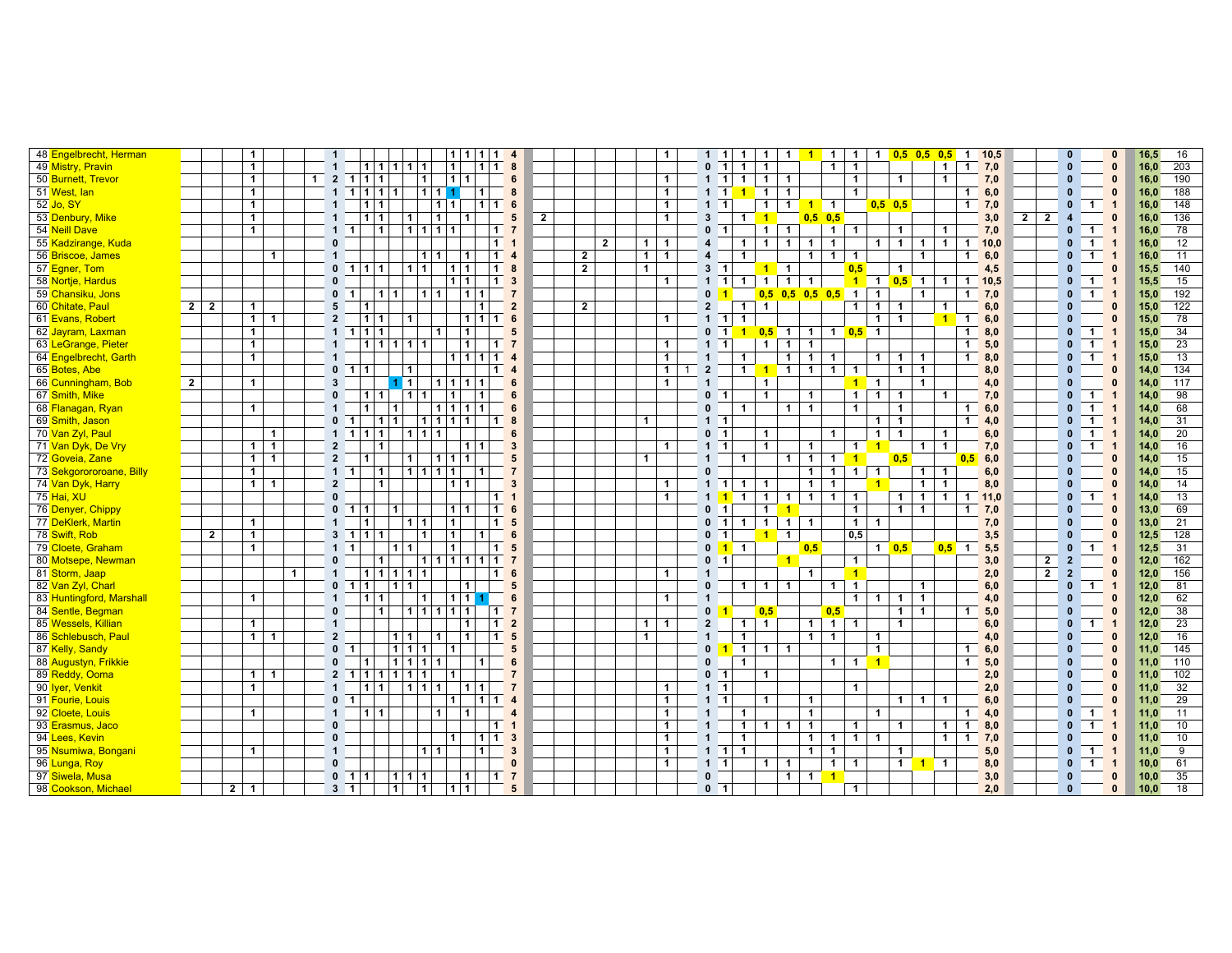| 48 Engelbrecht, Herman         |                |                | $\mathbf{1}$   |                |              |              | $\mathbf{1}$                   |                          |                   |                |                   |                 | 1   1   1   1 4            |                                     |                         |                |                |                |                | $\mathbf{1}$   |              | $1 \quad 1$         |                | $\mathbf{1}$         | $\mathbf{1}$        | $\overline{1}$<br>$\mathbf{1}$   | $\overline{1}$ | $\overline{\mathbf{1}}$ | $\mathbf{1}$         | $0,5$ 0,5 0,5  |                         | $\overline{\mathbf{1}}$          | 10,5 |                |                | $\mathbf{0}$   |                | $\mathbf{0}$            | 16,5 | 16  |
|--------------------------------|----------------|----------------|----------------|----------------|--------------|--------------|--------------------------------|--------------------------|-------------------|----------------|-------------------|-----------------|----------------------------|-------------------------------------|-------------------------|----------------|----------------|----------------|----------------|----------------|--------------|---------------------|----------------|----------------------|---------------------|----------------------------------|----------------|-------------------------|----------------------|----------------|-------------------------|----------------------------------|------|----------------|----------------|----------------|----------------|-------------------------|------|-----|
| 49 Mistry, Pravin              |                |                | $\mathbf{1}$   |                |              |              | $\mathbf{1}$                   |                          |                   |                | 11111111          |                 | $\mathbf{1}$               | 111                                 | 8                       |                |                |                |                |                |              | 0 <sub>1</sub>      |                | $\mathbf{1}$         | 1                   |                                  | $\mathbf{1}$   | $\overline{1}$          |                      |                |                         | $\mathbf{1}$<br>$\mathbf{1}$     | 7,0  |                |                | $\mathbf{0}$   |                | $\mathbf{0}$            | 16,0 | 203 |
| 50 Burnett, Trevor             |                |                | $\mathbf{1}$   |                |              | $\mathbf{1}$ | $\overline{2}$                 | $1111$                   |                   |                | $1 \vert$         |                 | 11                         |                                     | 6                       |                |                |                |                | $\mathbf{1}$   |              | $1 \quad 1$         |                | $\mathbf{1}$         | $\mathbf 1$         | $\mathbf{1}$                     |                | $\overline{1}$          |                      | $\mathbf{1}$   |                         | $\mathbf{1}$                     | 7,0  |                |                | $\mathbf{0}$   |                | $\bf{0}$                | 16,0 | 190 |
| 51 West, lan                   |                |                | $\mathbf{1}$   |                |              |              | $\mathbf{1}$                   |                          | 11111             |                |                   | 1111            |                            | $\mathbf{1}$                        | 8                       |                |                |                |                | $\mathbf{1}$   |              | $1 \quad 1$         |                | $\blacktriangleleft$ | $\mathbf{1}$        | $\overline{1}$                   |                | $\overline{1}$          |                      |                |                         | $\mathbf{1}$                     | 6,0  |                |                | $\mathbf{0}$   |                | $\Omega$                | 16,0 | 188 |
| $\overline{52}$ Jo, SY         |                |                | $\mathbf{1}$   |                |              |              |                                |                          | $1 \vert 1$       |                |                   | $1 \mid 1 \mid$ |                            | $\blacksquare$                      | $1 \quad 6$             |                |                |                |                | $\mathbf{1}$   |              | $1 \quad 1$         |                |                      | $\mathbf{1}$        | $\mathbf{1}$                     | $1$ 1          |                         |                      | $0,5$ 0,5      |                         | $\mathbf{1}$                     | 7,0  |                |                | $\mathbf{0}$   | $\mathbf{1}$   | $\mathbf{1}$            | 16,0 | 148 |
| 53 Denbury, Mike               |                |                | $\mathbf{1}$   |                |              |              |                                |                          | 111               |                | 11                | 1               | $\mathbf{1}$               |                                     | 5                       | $\overline{2}$ |                |                |                | $\mathbf{1}$   |              | 3                   |                | 1 <sup>1</sup>       | $\overline{1}$      |                                  | $0,5$ 0,5      |                         |                      |                |                         |                                  | 3,0  | $\overline{2}$ | $\vert$ 2      | $\overline{4}$ |                | $\mathbf{0}$            | 16,0 | 136 |
| 54 Neill Dave                  |                |                | $\mathbf{1}$   |                |              |              | $\mathbf{1}$<br>$\blacksquare$ |                          | $\overline{1}$    |                | 1111              |                 |                            | 1                                   | $\overline{7}$          |                |                |                |                |                |              | 0 <sub>1</sub>      |                |                      | $\mathbf{1}$        | $\overline{1}$                   |                | $1 \mid 1$              |                      | $\mathbf{1}$   |                         | $\mathbf{1}$                     | 7,0  |                |                | $\mathbf{0}$   | $\mathbf{1}$   | $\overline{1}$          | 16.0 | 78  |
| 55 Kadzirange, Kuda            |                |                |                |                |              |              | $\mathbf{0}$                   |                          |                   |                |                   |                 |                            | 1                                   | $\overline{1}$          |                |                | $\overline{2}$ |                | $1 \mid 1$     |              |                     |                | $\mathbf{1}$         | $\mathbf{1}$        | $\overline{1}$<br>$\mathbf{1}$   | $\mathbf{1}$   |                         |                      | $1 \quad 1$    | $\mathbf{1}$            | $\blacksquare$<br>$\overline{1}$ | 10.0 |                |                | $\mathbf{0}$   | 1              |                         | 16,0 | 12  |
| 56 Briscoe, James              |                |                |                | $\mathbf{1}$   |              |              | $\overline{1}$                 |                          |                   |                |                   | 11              | $\mathbf{1}$               | $\blacksquare$                      | $\overline{4}$          |                | $\overline{2}$ |                | 1 <sup>1</sup> | $\mathbf{1}$   |              | 4                   |                | $\mathbf{1}$         |                     | $\mathbf{1}$                     | $\overline{1}$ | $\overline{1}$          |                      |                | $\mathbf{1}$            | $\mathbf{1}$                     | 6,0  |                |                | $\mathbf{0}$   | $\mathbf{1}$   | $\overline{1}$          | 16,0 | 11  |
| 57 Egner, Tom                  |                |                |                |                |              |              |                                | $0 \t1 \t1 \t1$          |                   |                | 1 1               |                 | 1 1                        | $\mathbf{1}$                        | 8                       |                | $\overline{2}$ |                | $\mathbf{1}$   |                |              | 3<br>$\blacksquare$ |                |                      | $1$ 1               |                                  |                | 0,5                     |                      | $\mathbf{1}$   |                         |                                  | 4,5  |                |                | $\mathbf{0}$   |                | $\mathbf{0}$            | 15,5 | 140 |
| 58 Nortje, Hardus              |                |                |                |                |              |              | $\Omega$                       |                          |                   |                |                   |                 | $1 \vert 1$                |                                     | $1 \quad 3$             |                |                |                |                | $\mathbf{1}$   |              | $1 \quad 1$         |                | $\mathbf 1$          | $\mathbf{1}$        | $\mathbf{1}$<br>$\overline{1}$   |                |                         |                      | $1$ 1 0,5 1    |                         | $\overline{1}$<br>$\mathbf{1}$   | 10,5 |                |                | $\mathbf{0}$   | $\mathbf{1}$   | $\mathbf{1}$            | 15,5 | 15  |
| 59 <mark>Chansiku, Jons</mark> |                |                |                |                |              |              | $\mathbf{0}$                   | $\blacksquare$           | 1 1               |                |                   | $111$           | 111                        |                                     | $\overline{7}$          |                |                |                |                |                |              | $0-1$               |                |                      |                     | $0,5$ 0,5 0,5 0,5 1              |                |                         | $\mathbf{1}$         |                | $\mathbf{1}$            | 1                                | 7,0  |                |                | $\mathbf{0}$   | $\mathbf{1}$   | -1                      | 15,0 | 192 |
| 60 Chitate, Paul               |                | $2 \mid 2$     | $\mathbf{1}$   |                |              |              | 5                              | $\mathbf{1}$             |                   |                |                   |                 |                            | $\mathbf{1}$                        | $\overline{2}$          |                | $\overline{2}$ |                |                |                |              | $\overline{2}$      |                | $\mathbf{1}$         | $\mathbf{1}$        |                                  |                | $\overline{1}$          | $\mathbf 1$          | $\mathbf 1$    |                         | $\mathbf{1}$                     | 6,0  |                |                | $\mathbf{0}$   |                | $\mathbf{0}$            | 15.0 | 122 |
| 61 Evans, Robert               |                |                | $\mathbf{1}$   | $\mathbf{1}$   |              |              | $\overline{2}$                 | 1                        | $\mathbf 1$       |                | 1                 |                 |                            | $1 \vert 1 \vert$<br>$\mathbf{1}$   | $6\phantom{1}$          |                |                |                |                | $\mathbf{1}$   |              | $1 \quad 1$         |                | $\mathbf{1}$         |                     |                                  |                |                         | $\mathbf{1}$         | $\mathbf{1}$   |                         | $\overline{1}$<br>$\overline{1}$ | 6,0  |                |                | $\mathbf{0}$   |                | $\mathbf{0}$            | 15,0 | 78  |
| 62 Jayram, Laxman              |                |                | $\mathbf{1}$   |                |              |              | $\mathbf{1}$                   | 11111                    |                   |                |                   | $\mathbf{1}$    | $\mathbf{1}$               |                                     | 5                       |                |                |                |                |                |              | $0$ 1 1             |                |                      | $0,5$ 1             | $\mathbf{1}$                     |                | 1 $0,5$ 1               |                      |                |                         | $\mathbf 1$                      | 8,0  |                |                | $\mathbf{0}$   | $\mathbf{1}$   | -1                      | 15,0 | 34  |
| 63 LeGrange, Pieter            |                |                | $\mathbf{1}$   |                |              |              | $\mathbf{1}$                   |                          |                   |                | 11111111          |                 | $\mathbf{1}$               | $\blacksquare$                      | $\overline{7}$          |                |                |                |                | $\mathbf{1}$   |              | $1 \quad 1$         |                |                      | $\mathbf{1}$        | $\overline{1}$<br>$\mathbf{1}$   |                |                         |                      |                |                         | $\overline{1}$                   | 5,0  |                |                | $\mathbf{0}$   | $\mathbf{1}$   | $\overline{1}$          | 15.0 | 23  |
| 64 Engelbrecht, Garth          |                |                | $\mathbf{1}$   |                |              |              | $\mathbf{1}$                   |                          |                   |                |                   |                 | $1$   $1$   $\overline{1}$ | $\overline{1}$                      | $\overline{4}$          |                |                |                |                | $\mathbf{1}$   |              | $\overline{1}$      |                | $\mathbf{1}$         |                     | $\mathbf{1}$<br>$\mathbf{1}$     | $\mathbf{1}$   |                         | $\mathbf{1}$         | $\mathbf{1}$   | $\overline{\mathbf{1}}$ | $\mathbf{1}$                     | 8,0  |                |                | $\mathbf{0}$   | $\mathbf{1}$   | $\overline{1}$          | 15,0 | 13  |
| 65 Botes, Abe                  |                |                |                |                |              |              |                                | $0 \quad 1 \mid 1$       |                   | $\overline{1}$ |                   |                 |                            | $\blacksquare$                      | $\overline{4}$          |                |                |                |                | $\mathbf{1}$   | $\mathbf{1}$ | $\overline{2}$      |                | 1 <sup>1</sup>       | 111                 | $\mathbf{1}$                     | 1              | $\overline{\mathbf{1}}$ |                      | $\mathbf{1}$   | $\overline{1}$          |                                  | 8,0  |                |                | $\mathbf{0}$   |                | $\mathbf{0}$            | 14.0 | 134 |
| 66 Cunningham, Bob             | $\overline{2}$ |                | $\mathbf{1}$   |                |              |              | $\mathbf{3}$                   |                          |                   | 111            |                   |                 | 11111                      |                                     | 6                       |                |                |                |                | $\mathbf{1}$   |              | $\mathbf{1}$        |                |                      | $\mathbf{1}$        |                                  |                |                         | $1 \quad 1$          |                | $\mathbf{1}$            |                                  | 4,0  |                |                | $\mathbf{0}$   |                | $\Omega$                | 14,0 | 117 |
| 67 Smith, Mike                 |                |                |                |                |              |              | $\mathbf{0}$                   |                          | 111               |                | 111               |                 | $\mathbf{1}$               | $\mathbf{1}$                        | 6                       |                |                |                |                |                |              | 0 <sub>1</sub>      |                |                      | $\mathbf{1}$        | $\mathbf{1}$                     |                | $\mathbf{1}$            | $\mathbf{1}$         | $\mathbf{1}$   |                         | $\mathbf{1}$                     | 7,0  |                |                | $\mathbf{0}$   | $\mathbf{1}$   |                         | 14.0 | 98  |
| 68 <mark>Flanagan, Ryan</mark> |                |                | $\mathbf{1}$   |                |              |              | $\mathbf{1}$                   | $\mathbf{1}$             |                   | $\mathbf{1}$   |                   |                 | 1111                       |                                     | 6                       |                |                |                |                |                |              | $\mathbf{0}$        |                | $\mathbf{1}$         |                     | $\mathbf{1}$<br>$\overline{1}$   |                | $\overline{1}$          |                      | $\mathbf{1}$   |                         | $\mathbf{1}$                     | 6,0  |                |                | $\mathbf{0}$   | 1              |                         | 14,0 | 68  |
| 69 Smith, Jason                |                |                |                |                |              |              | $\mathbf{0}$                   | $\blacksquare$           | 1 1               |                |                   |                 | 11111                      | $\mathbf{1}$                        | 8                       |                |                |                | $\mathbf{1}$   |                |              | $1 \quad 1$         |                |                      |                     |                                  |                |                         | 1 <sup>1</sup>       | $\overline{1}$ |                         | $\mathbf{1}$                     | 4,0  |                |                | $\mathbf{0}$   | $\mathbf 1$    | $\mathbf{1}$            | 14,0 | 31  |
| 70 <mark>Van Zyl, Paul</mark>  |                |                |                | $\mathbf{1}$   |              |              |                                | $1 \ 1 \ 1 \ 1$          |                   |                | 1111              |                 |                            |                                     | 6                       |                |                |                |                |                |              | 0 <sub>1</sub>      |                |                      | 1                   |                                  | $\mathbf{1}$   |                         | $\mathbf 1$          | $\mathbf{1}$   |                         | $\overline{1}$                   | 6,0  |                |                | $\mathbf{0}$   | $\mathbf{1}$   | -1                      | 14,0 | 20  |
| 71 Van Dyk, De Vry             |                |                | $\blacksquare$ | $\overline{1}$ |              |              | $\overline{2}$                 |                          | $\mathbf{1}$      |                |                   |                 | 111                        |                                     | $\overline{\mathbf{3}}$ |                |                |                |                | $\mathbf{1}$   |              | $1 \quad 1$         |                |                      | $\mathbf{1}$        | $\mathbf{1}$                     |                | $\mathbf{1}$            | $\blacktriangleleft$ |                | $\overline{1}$          | $\overline{1}$                   | 7,0  |                |                | $\mathbf{0}$   | $\overline{1}$ | $\overline{1}$          | 14,0 | 16  |
| 72 Goveia, Zane                |                |                | 1              | $\overline{1}$ |              |              | $\overline{2}$                 | $\blacktriangleleft$     |                   |                | 1 <sup>1</sup>    | 111             | $\mathbf{1}$               |                                     | 5                       |                |                |                | $\mathbf{1}$   |                |              | $\overline{1}$      |                | $\mathbf{1}$         |                     | $\overline{1}$<br>$\overline{1}$ | $\blacksquare$ | $\overline{1}$          |                      | 0.5            |                         | 0.5                              | 6,0  |                |                | $\mathbf{0}$   |                | $\Omega$                | 14.0 | 15  |
| 73 Sekgorororoane, Billy       |                |                | $\mathbf{1}$   |                |              |              | $1 \quad 1$                    |                          | $\mathbf{1}$      |                | 11111             |                 |                            | $\overline{1}$                      | $\overline{7}$          |                |                |                |                |                |              | $\Omega$            |                |                      |                     | $\mathbf{1}$                     | $\mathbf{1}$   | $\overline{1}$          | $\mathbf{1}$         |                | $\mathbf{1}$            | $\mathbf{1}$                     | 6,0  |                |                | $\mathbf{0}$   |                | $\Omega$                | 14,0 | 15  |
| 74 <mark>Van Dyk, Harry</mark> |                |                | 1              | $\overline{1}$ |              |              | $\overline{2}$                 |                          | $\mathbf{1}$      |                |                   |                 | 111                        |                                     | 3                       |                |                |                |                | $\mathbf{1}$   |              | $1 \quad 1$         |                | $\overline{1}$       | $\mathbf{1}$        | $\mathbf{1}$                     | $\mathbf{1}$   |                         | $\blacktriangleleft$ |                | $\mathbf{1}$            | $\mathbf{1}$                     | 8,0  |                |                | $\mathbf{0}$   |                | $\Omega$                | 14.0 | 14  |
| 75 Hai, XU                     |                |                |                |                |              |              | $\Omega$                       |                          |                   |                |                   |                 |                            | $\mathbf{1}$                        | $\overline{1}$          |                |                |                |                | $\mathbf{1}$   |              | $1\vert 1$          |                | $\mathbf{1}$         | $\mathbf{1}$        | $\mathbf{1}$<br>$\mathbf{1}$     | $\overline{1}$ | $\mathbf{1}$            |                      | 1              | $\overline{1}$          | $\overline{1}$<br>$\mathbf{1}$   | 11,0 |                |                | $\mathbf{0}$   | $\mathbf{1}$   | $\mathbf{1}$            | 14,0 | 13  |
| 76 Denyer, Chippy              |                |                |                |                |              |              | $\mathbf{0}$                   | 111                      |                   | $\mathbf{1}$   |                   |                 | 11                         | $\mathbf{1}$                        | 6                       |                |                |                |                |                |              | $\mathbf{0}$        | $\blacksquare$ |                      | 1<br>$\overline{1}$ |                                  |                | $\mathbf{1}$            |                      | $\mathbf{1}$   | $\overline{1}$          | $\mathbf{1}$                     | 7,0  |                |                | $\mathbf{0}$   |                | $\Omega$                | 13,0 | 69  |
| 77 DeKlerk, Martin             |                |                | $\mathbf{1}$   |                |              |              |                                | $\mathbf{1}$             |                   |                | $111$             |                 | $\overline{1}$             | $\blacksquare$                      | $5\phantom{.0}$         |                |                |                |                |                |              | $0$ 1 1             |                |                      | $\mathbf{1}$        | $\mathbf{1}$<br>$\overline{1}$   |                | $\mathbf{1}$            | $\overline{1}$       |                |                         |                                  | 7,0  |                |                | $\mathbf{0}$   |                | $\Omega$                | 13,0 | 21  |
| 78 Swift, Rob                  |                | $\overline{2}$ | $\mathbf{1}$   |                |              |              |                                | $3 \mid 1 \mid 1 \mid 1$ |                   |                | $\vert$ 1         |                 | $\mathbf{1}$               | $\mathbf{1}$                        | 6                       |                |                |                |                |                |              | $\mathbf{0}$        | $\overline{1}$ |                      | $1$ 1               |                                  |                | 0,5                     |                      |                |                         |                                  | 3,5  |                |                | $\mathbf{0}$   |                | $\Omega$                | 12.5 | 128 |
| 79 Cloete, Graham              |                |                | $\mathbf{1}$   |                |              |              | $1 \quad 1$                    |                          |                   | 1 1            |                   |                 | $\mathbf{1}$               | $\mathbf{1}$                        | $5\phantom{.0}$         |                |                |                |                |                |              | $0$ 1 1             |                |                      |                     | 0,5                              |                |                         |                      | 1 $0,5$        |                         | $0,5$ 1                          | 5,5  |                |                | $\mathbf{0}$   | $\mathbf{1}$   |                         | 12,5 | 31  |
| 80 Motsepe, Newman             |                |                |                |                |              |              | $\mathbf{0}$                   |                          | $\mathbf{1}$      |                |                   |                 | 111111                     | $\blacksquare$                      | $\overline{7}$          |                |                |                |                |                |              | 0 <sub>1</sub>      |                |                      |                     | $\blacksquare$                   |                | $\overline{1}$          |                      |                |                         |                                  | 3,0  |                | $\overline{2}$ | $\overline{2}$ |                | $\Omega$                | 12,0 | 162 |
| 81 <mark>Storm, Jaap</mark>    |                |                |                |                | $\mathbf{1}$ |              | $\overline{1}$                 |                          |                   |                | 1 1 1 1 1         |                 |                            | 1 <sup>1</sup>                      | 6                       |                |                |                |                | $\mathbf{1}$   |              | $\overline{1}$      |                |                      |                     | $\mathbf{1}$                     |                | $\overline{1}$          |                      |                |                         |                                  | 2,0  |                | $\overline{2}$ | $\overline{2}$ |                | $\mathbf{0}$            | 12,0 | 156 |
| 82 Van Zyl, Charl              |                |                |                |                |              |              |                                | $0 \quad 1 \quad 1$      |                   | 111            |                   |                 | $\mathbf{1}$               |                                     | 5                       |                |                |                |                |                |              | $\mathbf{0}$        |                | $\mathbf 1$          | $\overline{1}$      | $\overline{1}$                   | 1 <sup>1</sup> | $\overline{\mathbf{1}}$ |                      |                | $\mathbf{1}$            |                                  | 6,0  |                |                | $\mathbf{0}$   | $\overline{1}$ | $\overline{1}$          | 12,0 | 81  |
| 83 Huntingford, Marshall       |                |                | $\mathbf{1}$   |                |              |              | $\overline{1}$                 |                          | $1 \vert 1$       |                | $\overline{1}$    |                 | 1111                       |                                     | 6                       |                |                |                |                | $\mathbf{1}$   |              | $\overline{1}$      |                |                      |                     |                                  |                | $\mathbf{1}$            | $\mathbf{1}$         | $\mathbf{1}$   | $\overline{1}$          |                                  | 4,0  |                |                | $\mathbf{0}$   |                | $\Omega$                | 12,0 | 62  |
| 84 Sentle, Begman              |                |                |                |                |              |              | $\mathbf{0}$                   |                          | $\mathbf{1}$      |                |                   |                 | 11111111                   | $\blacksquare$                      | $\overline{7}$          |                |                |                |                |                |              | $\mathbf{0}$        |                |                      | 0,5                 |                                  | 0,5            |                         |                      | 1              | $\overline{1}$          | $\mathbf{1}$                     | 5,0  |                |                | $\mathbf{0}$   |                | $\Omega$                | 12,0 | 38  |
| 85 Wessels, Killian            |                |                | $\mathbf{1}$   |                |              |              | $\overline{1}$                 |                          |                   |                |                   |                 | $\mathbf{1}$               | $\blacksquare$                      | $\overline{2}$          |                |                |                | 1 <sup>1</sup> | $\overline{1}$ |              | $\overline{2}$      |                | $\mathbf{1}$         | $\mathbf{1}$        | $\mathbf{1}$                     |                | $1 \vert 1$             |                      | $\mathbf{1}$   |                         |                                  | 6,0  |                |                | $\mathbf{0}$   | $\mathbf{1}$   | $\overline{\mathbf{1}}$ | 12.0 | 23  |
| 86 Schlebusch, Paul            |                |                | 1 <sup>1</sup> | $\mathbf{1}$   |              |              | $\overline{2}$                 |                          |                   | 1 1            |                   | $\mathbf{1}$    | $\mathbf{1}$               | $\blacksquare$                      | $\sqrt{5}$              |                |                |                | $\mathbf{1}$   |                |              | -1                  |                | 1                    |                     | $\mathbf{1}$                     | $\overline{1}$ |                         | $\mathbf{1}$         |                |                         |                                  | 4,0  |                |                | $\mathbf{0}$   |                | $\mathbf{0}$            | 12,0 | 16  |
| 87 Kelly, Sandy                |                |                |                |                |              |              | $\mathbf{0}$<br>$\blacksquare$ |                          |                   |                | $1 \mid 1 \mid 1$ |                 | $\overline{1}$             |                                     | 5                       |                |                |                |                |                |              | $\mathbf{0}$        | $\blacksquare$ |                      | 1                   | $\overline{1}$                   |                |                         | $\overline{1}$       |                |                         | $\mathbf 1$                      | 6,0  |                |                | $\mathbf{0}$   |                | $\Omega$                | 11,0 | 145 |
| 88 Augustyn, Frikkie           |                |                |                |                |              |              | $\mathbf{0}$                   | $\mathbf{1}$             |                   |                | 1 1 1 1           |                 |                            |                                     | 6                       |                |                |                |                |                |              | $\Omega$            |                | $\mathbf{1}$         |                     |                                  | 1 <sup>1</sup> | $\blacksquare$          | $\blacktriangleleft$ |                |                         | $\mathbf{1}$                     | 5,0  |                |                | $\mathbf{0}$   |                | $\Omega$                | 11,0 | 110 |
| 89 Reddy, Ooma                 |                |                | 1 <sup>1</sup> | $\overline{1}$ |              |              | $\overline{2}$                 |                          |                   |                | 111111111         |                 | $\overline{1}$             |                                     | $\overline{7}$          |                |                |                |                |                |              | 0 <sub>1</sub>      |                |                      | $\mathbf{1}$        |                                  |                |                         |                      |                |                         |                                  | 2,0  |                |                | $\mathbf{0}$   |                | $\Omega$                | 11.0 | 102 |
| 90 <mark>Iyer, Venkit</mark>   |                |                | $\mathbf{1}$   |                |              |              | $\mathbf{1}$                   |                          | $1 \vert 1 \vert$ |                | 11111             |                 | 111                        |                                     | $\overline{7}$          |                |                |                |                | $\mathbf{1}$   |              | $1 \quad 1$         |                |                      |                     |                                  |                | $\overline{1}$          |                      |                |                         |                                  | 2,0  |                |                | $\mathbf{0}$   |                | $\mathbf{0}$            | 11.0 | 32  |
| 91 Fourie, Louis               |                |                |                |                |              |              | $\mathbf 0$<br>$\blacksquare$  |                          |                   |                |                   |                 | $\mathbf{1}$               | 1  <br>$\mathbf{1}$                 | $\overline{4}$          |                |                |                |                | $\mathbf{1}$   |              | $1 \quad 1$         |                |                      | $\mathbf{1}$        | $\mathbf{1}$                     |                |                         |                      | $1 \mid 1$     |                         | $\sqrt{1}$                       | 6,0  |                |                | $\mathbf{0}$   |                | $\mathbf{0}$            | 11,0 | 29  |
| 92 Cloete, Louis               |                |                | $\mathbf{1}$   |                |              |              | $\mathbf{1}$                   |                          | 111               |                |                   | 1 <sup>1</sup>  | $\mathbf{1}$               |                                     | $\overline{4}$          |                |                |                |                | $\mathbf{1}$   |              | $\overline{1}$      |                | $\mathbf{1}$         |                     | $\mathbf{1}$                     |                |                         | $\mathbf{1}$         |                |                         | $\mathbf{1}$                     | 4,0  |                |                | $\mathbf{0}$   | $\blacksquare$ | $\overline{\mathbf{1}}$ | 11.0 | 11  |
| 93 <mark>Erasmus, Jaco</mark>  |                |                |                |                |              |              | $\mathbf{0}$                   |                          |                   |                |                   |                 |                            | 1 <sup>1</sup>                      | $\overline{1}$          |                |                |                |                | $\mathbf{1}$   |              | $\mathbf{1}$        |                | $\mathbf{1}$         | 1                   | $\mathbf{1}$<br>$\mathbf{1}$     |                | $\mathbf{1}$            |                      | $\mathbf{1}$   |                         | $\overline{1}$<br>$\mathbf{1}$   | 8,0  |                |                | $\mathbf{0}$   | $\mathbf{1}$   | $\overline{1}$          | 11,0 | 10  |
| 94 Lees, Kevin                 |                |                |                |                |              |              | $\mathbf{0}$                   |                          |                   |                |                   |                 | $\overline{1}$             | $\vert$ 1 $\vert$<br>$\blacksquare$ | $\overline{\mathbf{3}}$ |                |                |                |                | $\mathbf{1}$   |              | $\overline{1}$      |                | $\mathbf{1}$         |                     | $\mathbf 1$                      | $\overline{1}$ | $\overline{1}$          | $\mathbf{1}$         |                |                         | $\overline{1}$<br>$\overline{1}$ | 7,0  |                |                | $\mathbf{0}$   |                | $\Omega$                | 11,0 | 10  |
| 95 Nsumiwa, Bongani            |                |                | $\mathbf{1}$   |                |              |              | $\overline{1}$                 |                          |                   |                |                   | $1 \mid 1 \mid$ |                            | $\mathbf{1}$                        | $\mathbf{3}$            |                |                |                |                | $\mathbf{1}$   |              | $1 \quad 1$         |                | $\overline{1}$       |                     | $\mathbf{1}$                     | $\overline{1}$ |                         |                      | $\mathbf{1}$   |                         |                                  | 5,0  |                |                | $\mathbf{0}$   | $\mathbf 1$    | $\overline{1}$          | 11.0 | 9   |
| 96 <mark>Lunga, Roy</mark>     |                |                |                |                |              |              | $\Omega$                       |                          |                   |                |                   |                 |                            |                                     | $\mathbf{0}$            |                |                |                |                | $\mathbf{1}$   |              | $1 \quad 1$         |                |                      | $\mathbf{1}$        | $\overline{1}$                   | $\mathbf{1}$   | $\overline{1}$          |                      | $1$ 1 1        |                         |                                  | 8,0  |                |                | $\mathbf{0}$   | $\mathbf{1}$   |                         | 10.0 | 61  |
| 97 Siwela, Musa                |                |                |                |                |              |              |                                | $0 \t11$                 |                   |                | 1111              |                 | 1                          | $\blacksquare$                      | $\overline{7}$          |                |                |                |                |                |              | $\mathbf{0}$        |                |                      |                     | $\mathbf{1}$<br>$\blacksquare$   | $\blacksquare$ |                         |                      |                |                         |                                  | 3,0  |                |                | $\mathbf{0}$   |                | $\mathbf{0}$            | 10,0 | 35  |
| 98 Cookson, Michael            |                |                | $2 \mid 1$     |                |              |              | $3 \quad 1$                    |                          |                   | $\vert$ 1      | $\vert$ 1         |                 | 1 1                        |                                     | 5                       |                |                |                |                |                |              | 0 <sub>1</sub>      |                |                      |                     |                                  |                | $\overline{1}$          |                      |                |                         |                                  | 2,0  |                |                | $\mathbf{0}$   |                | $\mathbf{0}$            | 10,0 | 18  |